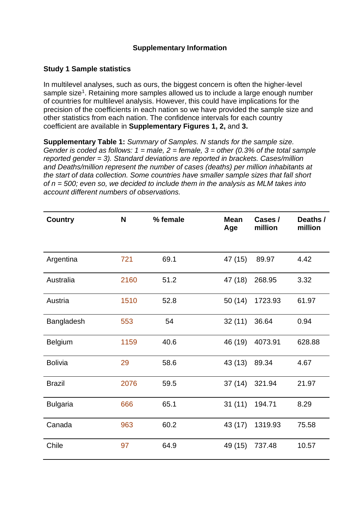## **Supplementary Information**

## **Study 1 Sample statistics**

In multilevel analyses, such as ours, the biggest concern is often the higher-level sample size<sup>1</sup>. Retaining more samples allowed us to include a large enough number of countries for multilevel analysis. However, this could have implications for the precision of the coefficients in each nation so we have provided the sample size and other statistics from each nation. The confidence intervals for each country coefficient are available in **Supplementary Figures 1, 2,** and **3.**

**Supplementary Table 1:** *Summary of Samples. N stands for the sample size. Gender is coded as follows: 1 = male, 2 = female, 3 = other (0.3% of the total sample reported gender = 3). Standard deviations are reported in brackets. Cases/million and Deaths/million represent the number of cases (deaths) per million inhabitants at the start of data collection. Some countries have smaller sample sizes that fall short of n = 500; even so, we decided to include them in the analysis as MLM takes into account different numbers of observations.*

| <b>Country</b>  | N    | % female | <b>Mean</b><br>Age | Cases /<br>million | Deaths /<br>million |
|-----------------|------|----------|--------------------|--------------------|---------------------|
|                 |      |          |                    |                    |                     |
| Argentina       | 721  | 69.1     | 47 (15)            | 89.97              | 4.42                |
| Australia       | 2160 | 51.2     | 47 (18)            | 268.95             | 3.32                |
| Austria         | 1510 | 52.8     | 50(14)             | 1723.93            | 61.97               |
| Bangladesh      | 553  | 54       | 32(11)             | 36.64              | 0.94                |
| <b>Belgium</b>  | 1159 | 40.6     | 46 (19)            | 4073.91            | 628.88              |
| <b>Bolivia</b>  | 29   | 58.6     | 43 (13)            | 89.34              | 4.67                |
| <b>Brazil</b>   | 2076 | 59.5     | 37(14)             | 321.94             | 21.97               |
| <b>Bulgaria</b> | 666  | 65.1     | 31(11)             | 194.71             | 8.29                |
| Canada          | 963  | 60.2     | 43 (17)            | 1319.93            | 75.58               |
| Chile           | 97   | 64.9     | 49 (15)            | 737.48             | 10.57               |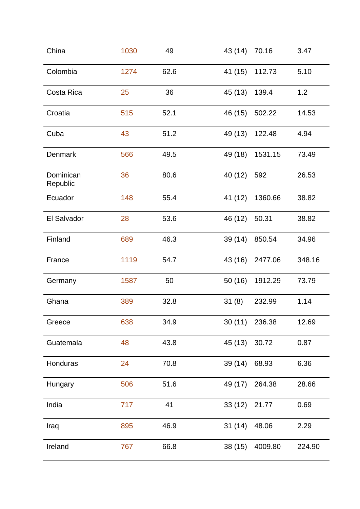| China                 | 1030 | 49   | 43 (14) | 70.16          | 3.47   |
|-----------------------|------|------|---------|----------------|--------|
| Colombia              | 1274 | 62.6 | 41 (15) | 112.73         | 5.10   |
| Costa Rica            | 25   | 36   | 45 (13) | 139.4          | 1.2    |
| Croatia               | 515  | 52.1 | 46 (15) | 502.22         | 14.53  |
| Cuba                  | 43   | 51.2 | 49 (13) | 122.48         | 4.94   |
| <b>Denmark</b>        | 566  | 49.5 | 49 (18) | 1531.15        | 73.49  |
| Dominican<br>Republic | 36   | 80.6 | 40 (12) | 592            | 26.53  |
| Ecuador               | 148  | 55.4 | 41 (12) | 1360.66        | 38.82  |
| El Salvador           | 28   | 53.6 | 46 (12) | 50.31          | 38.82  |
| Finland               | 689  | 46.3 | 39 (14) | 850.54         | 34.96  |
| France                | 1119 | 54.7 | 43 (16) | 2477.06        | 348.16 |
| Germany               | 1587 | 50   | 50 (16) | 1912.29        | 73.79  |
| Ghana                 | 389  | 32.8 | 31(8)   | 232.99         | 1.14   |
| Greece                | 638  | 34.9 |         | 30 (11) 236.38 | 12.69  |
| Guatemala             | 48   | 43.8 | 45 (13) | 30.72          | 0.87   |
| Honduras              | 24   | 70.8 | 39 (14) | 68.93          | 6.36   |
| Hungary               | 506  | 51.6 | 49 (17) | 264.38         | 28.66  |
| India                 | 717  | 41   | 33(12)  | 21.77          | 0.69   |
| Iraq                  | 895  | 46.9 | 31(14)  | 48.06          | 2.29   |
| Ireland               | 767  | 66.8 | 38(15)  | 4009.80        | 224.90 |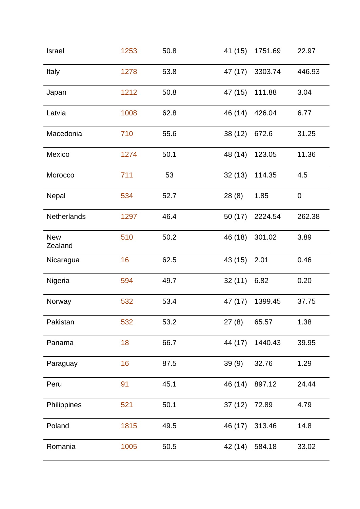| <b>Israel</b>         | 1253 | 50.8 | 41 (15) | 1751.69        | 22.97            |
|-----------------------|------|------|---------|----------------|------------------|
| Italy                 | 1278 | 53.8 | 47 (17) | 3303.74        | 446.93           |
| Japan                 | 1212 | 50.8 | 47 (15) | 111.88         | 3.04             |
| Latvia                | 1008 | 62.8 | 46 (14) | 426.04         | 6.77             |
| Macedonia             | 710  | 55.6 | 38(12)  | 672.6          | 31.25            |
| Mexico                | 1274 | 50.1 | 48 (14) | 123.05         | 11.36            |
| Morocco               | 711  | 53   |         | 32 (13) 114.35 | 4.5              |
| <b>Nepal</b>          | 534  | 52.7 | 28(8)   | 1.85           | $\boldsymbol{0}$ |
| Netherlands           | 1297 | 46.4 | 50 (17) | 2224.54        | 262.38           |
| <b>New</b><br>Zealand | 510  | 50.2 | 46 (18) | 301.02         | 3.89             |
| Nicaragua             | 16   | 62.5 | 43 (15) | 2.01           | 0.46             |
| Nigeria               | 594  | 49.7 | 32(11)  | 6.82           | 0.20             |
| Norway                | 532  | 53.4 | 47 (17) | 1399.45        | 37.75            |
| Pakistan              | 532  | 53.2 | 27(8)   | 65.57          | 1.38             |
| Panama                | 18   | 66.7 | 44 (17) | 1440.43        | 39.95            |
| Paraguay              | 16   | 87.5 | 39(9)   | 32.76          | 1.29             |
| Peru                  | 91   | 45.1 | 46 (14) | 897.12         | 24.44            |
| Philippines           | 521  | 50.1 | 37(12)  | 72.89          | 4.79             |
| Poland                | 1815 | 49.5 | 46 (17) | 313.46         | 14.8             |
| Romania               | 1005 | 50.5 | 42 (14) | 584.18         | 33.02            |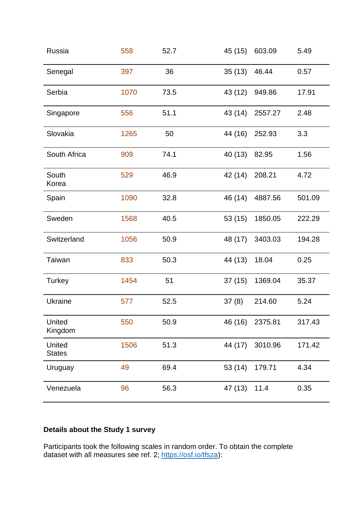| Russia                  | 558  | 52.7 | 45 (15) | 603.09  | 5.49   |
|-------------------------|------|------|---------|---------|--------|
| Senegal                 | 397  | 36   | 35(13)  | 46.44   | 0.57   |
| Serbia                  | 1070 | 73.5 | 43 (12) | 949.86  | 17.91  |
| Singapore               | 556  | 51.1 | 43 (14) | 2557.27 | 2.48   |
| Slovakia                | 1265 | 50   | 44 (16) | 252.93  | 3.3    |
| South Africa            | 909  | 74.1 | 40 (13) | 82.95   | 1.56   |
| South<br>Korea          | 529  | 46.9 | 42 (14) | 208.21  | 4.72   |
| Spain                   | 1090 | 32.8 | 46 (14) | 4887.56 | 501.09 |
| Sweden                  | 1568 | 40.5 | 53 (15) | 1850.05 | 222.29 |
| Switzerland             | 1056 | 50.9 | 48 (17) | 3403.03 | 194.28 |
| Taiwan                  | 833  | 50.3 | 44 (13) | 18.04   | 0.25   |
| Turkey                  | 1454 | 51   | 37(15)  | 1369.04 | 35.37  |
| <b>Ukraine</b>          | 577  | 52.5 | 37(8)   | 214.60  | 5.24   |
| United<br>Kingdom       | 550  | 50.9 | 46 (16) | 2375.81 | 317.43 |
| United<br><b>States</b> | 1506 | 51.3 | 44 (17) | 3010.96 | 171.42 |
| Uruguay                 | 49   | 69.4 | 53 (14) | 179.71  | 4.34   |
| Venezuela               | 96   | 56.3 | 47 (13) | 11.4    | 0.35   |

# **Details about the Study 1 survey**

Participants took the following scales in random order. To obtain the complete dataset with all measures see ref. 2; [https://osf.io/tfsza\)](https://osf.io/tfsza):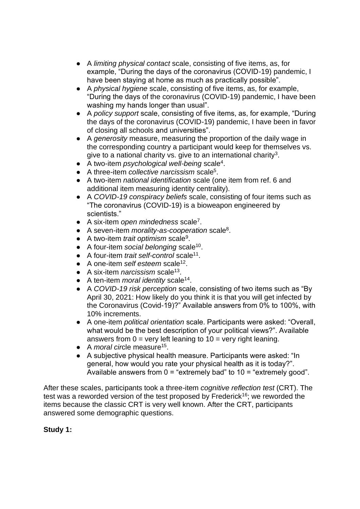- A *limiting physical contact* scale, consisting of five items, as, for example, "During the days of the coronavirus (COVID-19) pandemic, I have been staying at home as much as practically possible".
- A *physical hygiene* scale, consisting of five items, as, for example, "During the days of the coronavirus (COVID-19) pandemic, I have been washing my hands longer than usual".
- A *policy support* scale, consisting of five items, as, for example, "During the days of the coronavirus (COVID-19) pandemic, I have been in favor of closing all schools and universities".
- A *generosity* measure, measuring the proportion of the daily wage in the corresponding country a participant would keep for themselves vs. give to a national charity vs. give to an international charity<sup>3</sup>.
- A two-item *psychological well-being* scale<sup>4</sup>.
- A three-item *collective narcissism* scale<sup>5</sup> .
- A two-item *national identification* scale (one item from ref. 6 and additional item measuring identity centrality).
- A *COVID-19 conspiracy beliefs* scale, consisting of four items such as "The coronavirus (COVID-19) is a bioweapon engineered by scientists."
- A six-item *open mindedness* scale<sup>7</sup> .
- A seven-item *morality-as-cooperation* scale<sup>8</sup>.
- A two-item *trait optimism* scale<sup>9</sup>.
- A four-item *social belonging* scale<sup>10</sup>.
- A four-item *trait self-control* scale<sup>11</sup>.
- A one-item *self esteem* scale<sup>12</sup>.
- A six-item *narcissism* scale<sup>13</sup>.
- A ten-item *moral identity* scale<sup>14</sup>.
- A *COVID-19 risk perception* scale, consisting of two items such as "By April 30, 2021: How likely do you think it is that you will get infected by the Coronavirus (Covid-19)?" Available answers from 0% to 100%, with 10% increments.
- A one-item *political orientation* scale. Participants were asked: "Overall, what would be the best description of your political views?". Available answers from  $0 =$  very left leaning to  $10 =$  very right leaning.
- A *moral circle* measure<sup>15</sup>.
- A subjective physical health measure. Participants were asked: "In general, how would you rate your physical health as it is today?". Available answers from  $0 =$  "extremely bad" to  $10 =$  "extremely good".

After these scales, participants took a three-item *cognitive reflection test* (CRT). The test was a reworded version of the test proposed by Frederick<sup>16</sup>; we reworded the items because the classic CRT is very well known. After the CRT, participants answered some demographic questions.

## **Study 1:**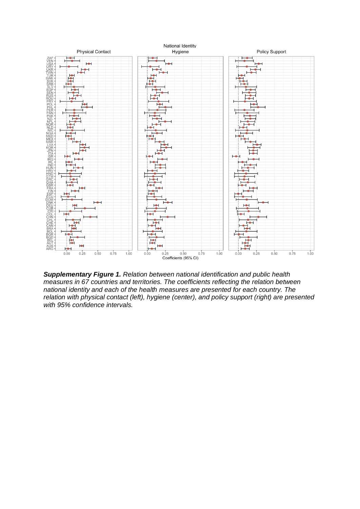

*Supplementary Figure 1. Relation between national identification and public health measures in 67 countries and territories. The coefficients reflecting the relation between national identity and each of the health measures are presented for each country. The relation with physical contact (left), hygiene (center), and policy support (right) are presented with 95% confidence intervals.*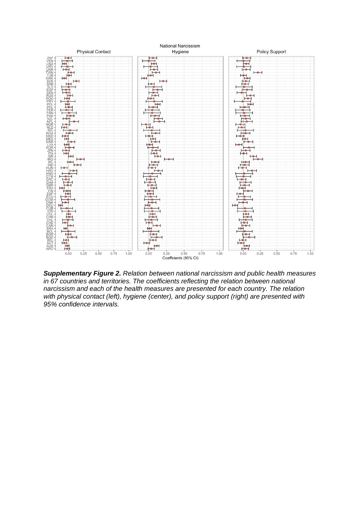

*Supplementary Figure 2. Relation between national narcissism and public health measures in 67 countries and territories. The coefficients reflecting the relation between national narcissism and each of the health measures are presented for each country. The relation with physical contact (left), hygiene (center), and policy support (right) are presented with 95% confidence intervals.*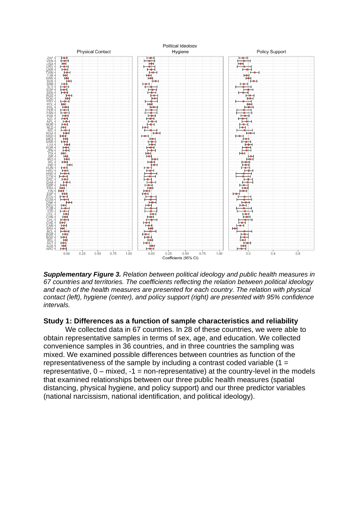

*Supplementary Figure 3. Relation between political ideology and public health measures in 67 countries and territories. The coefficients reflecting the relation between political ideology and each of the health measures are presented for each country. The relation with physical contact (left), hygiene (center), and policy support (right) are presented with 95% confidence intervals.*

#### **Study 1: Differences as a function of sample characteristics and reliability**

 We collected data in 67 countries. In 28 of these countries, we were able to obtain representative samples in terms of sex, age, and education. We collected convenience samples in 36 countries, and in three countries the sampling was mixed. We examined possible differences between countries as function of the representativeness of the sample by including a contrast coded variable  $(1 =$ representative,  $0 -$  mixed,  $-1 =$  non-representative) at the country-level in the models that examined relationships between our three public health measures (spatial distancing, physical hygiene, and policy support) and our three predictor variables (national narcissism, national identification, and political ideology).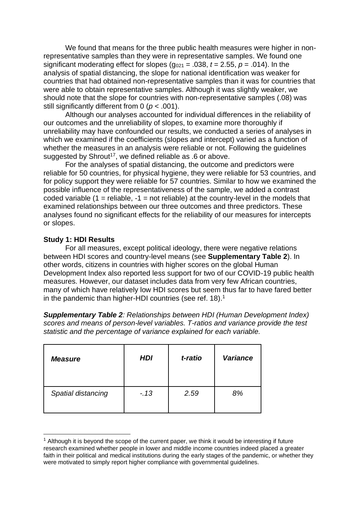We found that means for the three public health measures were higher in nonrepresentative samples than they were in representative samples. We found one significant moderating effect for slopes ( $g_{021}$  = .038,  $t$  = 2.55,  $p$  = .014). In the analysis of spatial distancing, the slope for national identification was weaker for countries that had obtained non-representative samples than it was for countries that were able to obtain representative samples. Although it was slightly weaker, we should note that the slope for countries with non-representative samples (.08) was still significantly different from 0 (*p* < .001).

Although our analyses accounted for individual differences in the reliability of our outcomes and the unreliability of slopes, to examine more thoroughly if unreliability may have confounded our results, we conducted a series of analyses in which we examined if the coefficients (slopes and intercept) varied as a function of whether the measures in an analysis were reliable or not. Following the guidelines suggested by Shrout<sup>17</sup>, we defined reliable as  $.6$  or above.

For the analyses of spatial distancing, the outcome and predictors were reliable for 50 countries, for physical hygiene, they were reliable for 53 countries, and for policy support they were reliable for 57 countries. Similar to how we examined the possible influence of the representativeness of the sample, we added a contrast coded variable  $(1 =$  reliable,  $-1 =$  not reliable) at the country-level in the models that examined relationships between our three outcomes and three predictors. These analyses found no significant effects for the reliability of our measures for intercepts or slopes.

## **Study 1: HDI Results**

For all measures, except political ideology, there were negative relations between HDI scores and country-level means (see **Supplementary Table 2**). In other words, citizens in countries with higher scores on the global Human Development Index also reported less support for two of our COVID-19 public health measures. However, our dataset includes data from very few African countries, many of which have relatively low HDI scores but seem thus far to have fared better in the pandemic than higher-HDI countries (see ref. 18).<sup>1</sup>

*Supplementary Table 2: Relationships between HDI (Human Development Index) scores and means of person-level variables. T-ratios and variance provide the test statistic and the percentage of variance explained for each variable.*

| <b>Measure</b>     | <b>HDI</b> | t-ratio | <b>Variance</b> |
|--------------------|------------|---------|-----------------|
| Spatial distancing | $-13$      | 2.59    | 8%              |

 $<sup>1</sup>$  Although it is beyond the scope of the current paper, we think it would be interesting if future</sup> research examined whether people in lower and middle income countries indeed placed a greater faith in their political and medical institutions during the early stages of the pandemic, or whether they were motivated to simply report higher compliance with governmental guidelines.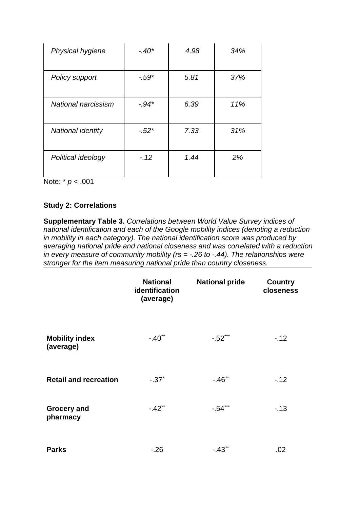| Physical hygiene    | $-.40*$ | 4.98 | 34% |
|---------------------|---------|------|-----|
| Policy support      | $-.59*$ | 5.81 | 37% |
| National narcissism | $-.94*$ | 6.39 | 11% |
| National identity   | $-.52*$ | 7.33 | 31% |
| Political ideology  | $-.12$  | 1.44 | 2%  |

Note: \* *p* < .001

## **Study 2: Correlations**

**Supplementary Table 3.** *Correlations between World Value Survey indices of national identification and each of the Google mobility indices (denoting a reduction in mobility in each category). The national identification score was produced by averaging national pride and national closeness and was correlated with a reduction in every measure of community mobility (rs = -.26 to -.44). The relationships were stronger for the item measuring national pride than country closeness.*

|                                    | <b>National</b><br>identification<br>(average) | <b>National pride</b> | <b>Country</b><br>closeness |
|------------------------------------|------------------------------------------------|-----------------------|-----------------------------|
| <b>Mobility index</b><br>(average) | $-.40$ <sup>**</sup>                           | $-.52***$             | $-12$                       |
| <b>Retail and recreation</b>       | $-.37$ *                                       | $-.46$ <sup>**</sup>  | $-.12$                      |
| <b>Grocery and</b><br>pharmacy     | $-.42**$                                       | $-.54***$             | $-13$                       |
| <b>Parks</b>                       | $-.26$                                         | $-.43$ <sup>**</sup>  | .02                         |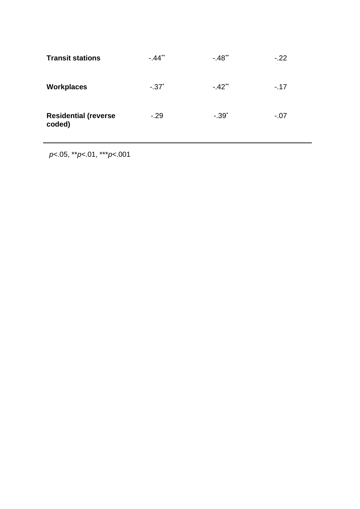| <b>Transit stations</b>               | $-.44**$ | $-.48**$             | $-.22$ |
|---------------------------------------|----------|----------------------|--------|
| <b>Workplaces</b>                     | $-.37$   | $-.42$ <sup>**</sup> | $-17$  |
| <b>Residential (reverse</b><br>coded) | $-29$    | $-.39*$              | $-.07$ |

\*\**p*<.05, \*\**p*<.01, \*\*\**p*<.001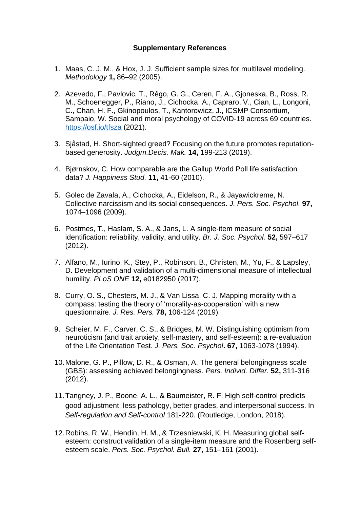### **Supplementary References**

- 1. Maas, C. J. M., & Hox, J. J. Sufficient sample sizes for multilevel modeling. *Methodology* **1,** 86–92 (2005).
- 2. Azevedo, F., Pavlovic, T., Rêgo, G. G., Ceren, F. A., Gjoneska, B., Ross, R. M., Schoenegger, P., Riano, J., Cichocka, A., Capraro, V., Cian, L., Longoni, C., Chan, H. F., Gkinopoulos, T., Kantorowicz, J., ICSMP Consortium, Sampaio, W. Social and moral psychology of COVID-19 across 69 countries. <https://osf.io/tfsza> (2021).
- 3. Sjåstad, H. Short-sighted greed? Focusing on the future promotes reputationbased generosity. *Judgm.Decis. Mak.* **14,** 199-213 (2019).
- 4. Bjørnskov, C. How comparable are the Gallup World Poll life satisfaction data? *J. Happiness Stud.* **11,** 41-60 (2010).
- 5. Golec de Zavala, A., Cichocka, A., Eidelson, R., & Jayawickreme, N. Collective narcissism and its social consequences. *J. Pers. Soc. Psychol.* **97,** 1074–1096 (2009).
- 6. Postmes, T., Haslam, S. A., & Jans, L. A single‐item measure of social identification: reliability, validity, and utility. *Br. J. Soc. Psychol.* **52,** 597–617 (2012).
- 7. Alfano, M., Iurino, K., Stey, P., Robinson, B., Christen, M., Yu, F., & Lapsley, D. Development and validation of a multi-dimensional measure of intellectual humility. *PLoS ONE* **12,** e0182950 (2017).
- 8. Curry, O. S., Chesters, M. J., & Van Lissa, C. J. Mapping morality with a compass: testing the theory of 'morality-as-cooperation' with a new questionnaire. *J. Res. Pers.* **78,** 106-124 (2019).
- 9. Scheier, M. F., Carver, C. S., & Bridges, M. W. Distinguishing optimism from neuroticism (and trait anxiety, self-mastery, and self-esteem): a re-evaluation of the Life Orientation Test. *J. Pers. Soc. Psychol***. 67,** 1063-1078 (1994).
- 10.Malone, G. P., Pillow, D. R., & Osman, A. The general belongingness scale (GBS): assessing achieved belongingness. *Pers. Individ. Differ.* **52,** 311-316 (2012).
- 11.Tangney, J. P., Boone, A. L., & Baumeister, R. F. High self-control predicts good adjustment, less pathology, better grades, and interpersonal success. In *Self-regulation and Self-control* 181-220. (Routledge, London, 2018).
- 12.Robins, R. W., Hendin, H. M., & Trzesniewski, K. H. Measuring global selfesteem: construct validation of a single-item measure and the Rosenberg selfesteem scale. *Pers. Soc. Psychol. Bull.* **27,** 151–161 (2001).